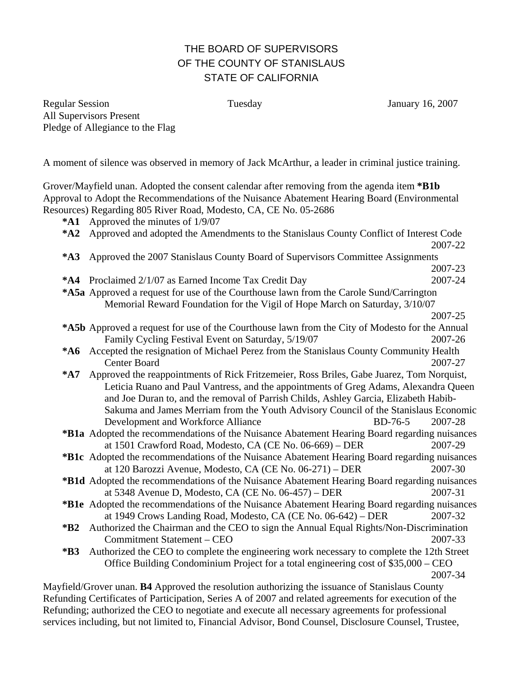## THE BOARD OF SUPERVISORS OF THE COUNTY OF STANISLAUS STATE OF CALIFORNIA

Regular Session Tuesday Tuesday January 16, 2007 All Supervisors Present Pledge of Allegiance to the Flag

A moment of silence was observed in memory of Jack McArthur, a leader in criminal justice training.

Grover/Mayfield unan. Adopted the consent calendar after removing from the agenda item **\*B1b**  Approval to Adopt the Recommendations of the Nuisance Abatement Hearing Board (Environmental Resources) Regarding 805 River Road, Modesto, CA, CE No. 05-2686

**\*A1** Approved the minutes of 1/9/07

| "A1                                                                                                 | Approved the minutes of 1/9/07                                                                      |         |
|-----------------------------------------------------------------------------------------------------|-----------------------------------------------------------------------------------------------------|---------|
| $*A2$                                                                                               | Approved and adopted the Amendments to the Stanislaus County Conflict of Interest Code              |         |
|                                                                                                     |                                                                                                     | 2007-22 |
| $*A3$                                                                                               | Approved the 2007 Stanislaus County Board of Supervisors Committee Assignments                      |         |
|                                                                                                     |                                                                                                     | 2007-23 |
| *A4                                                                                                 | Proclaimed 2/1/07 as Earned Income Tax Credit Day                                                   | 2007-24 |
| <b>*A5a</b> Approved a request for use of the Courthouse lawn from the Carole Sund/Carrington       |                                                                                                     |         |
|                                                                                                     | Memorial Reward Foundation for the Vigil of Hope March on Saturday, 3/10/07                         |         |
|                                                                                                     |                                                                                                     | 2007-25 |
| *A5b Approved a request for use of the Courthouse lawn from the City of Modesto for the Annual      |                                                                                                     |         |
|                                                                                                     | Family Cycling Festival Event on Saturday, 5/19/07                                                  | 2007-26 |
| *A6 Accepted the resignation of Michael Perez from the Stanislaus County Community Health           |                                                                                                     |         |
|                                                                                                     | Center Board                                                                                        | 2007-27 |
| $*$ A7                                                                                              | Approved the reappointments of Rick Fritzemeier, Ross Briles, Gabe Juarez, Tom Norquist,            |         |
|                                                                                                     | Leticia Ruano and Paul Vantress, and the appointments of Greg Adams, Alexandra Queen                |         |
|                                                                                                     | and Joe Duran to, and the removal of Parrish Childs, Ashley Garcia, Elizabeth Habib-                |         |
|                                                                                                     | Sakuma and James Merriam from the Youth Advisory Council of the Stanislaus Economic                 |         |
|                                                                                                     | Development and Workforce Alliance<br>$BD-76-5$                                                     | 2007-28 |
| <b>*B1a</b> Adopted the recommendations of the Nuisance Abatement Hearing Board regarding nuisances |                                                                                                     |         |
|                                                                                                     | at 1501 Crawford Road, Modesto, CA (CE No. 06-669) – DER                                            | 2007-29 |
|                                                                                                     | <b>*B1c</b> Adopted the recommendations of the Nuisance Abatement Hearing Board regarding nuisances |         |
|                                                                                                     | at 120 Barozzi Avenue, Modesto, CA (CE No. 06-271) – DER                                            | 2007-30 |
| *B1d Adopted the recommendations of the Nuisance Abatement Hearing Board regarding nuisances        |                                                                                                     |         |
|                                                                                                     | ot $5249$ Avenue D Modesto CA (CE No. 06.457) DED                                                   | 2007-21 |

at 5348 Avenue D, Modesto, CA (CE No. 06-457) – DER 2007-31 **\*B1e** Adopted the recommendations of the Nuisance Abatement Hearing Board regarding nuisances at 1949 Crows Landing Road, Modesto, CA (CE No. 06-642) – DER 2007-32

Mayfield/Grover unan. **B4** Approved the resolution authorizing the issuance of Stanislaus County Refunding Certificates of Participation, Series A of 2007 and related agreements for execution of the Refunding; authorized the CEO to negotiate and execute all necessary agreements for professional services including, but not limited to, Financial Advisor, Bond Counsel, Disclosure Counsel, Trustee,

**<sup>\*</sup>B2** Authorized the Chairman and the CEO to sign the Annual Equal Rights/Non-Discrimination Commitment Statement – CEO 2007-33

**<sup>\*</sup>B3** Authorized the CEO to complete the engineering work necessary to complete the 12th Street Office Building Condominium Project for a total engineering cost of \$35,000 – CEO 2007-34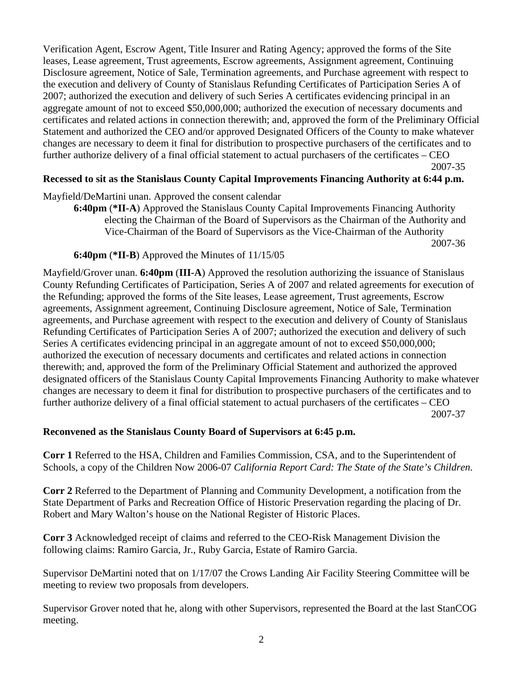Verification Agent, Escrow Agent, Title Insurer and Rating Agency; approved the forms of the Site leases, Lease agreement, Trust agreements, Escrow agreements, Assignment agreement, Continuing Disclosure agreement, Notice of Sale, Termination agreements, and Purchase agreement with respect to the execution and delivery of County of Stanislaus Refunding Certificates of Participation Series A of 2007; authorized the execution and delivery of such Series A certificates evidencing principal in an aggregate amount of not to exceed \$50,000,000; authorized the execution of necessary documents and certificates and related actions in connection therewith; and, approved the form of the Preliminary Official Statement and authorized the CEO and/or approved Designated Officers of the County to make whatever changes are necessary to deem it final for distribution to prospective purchasers of the certificates and to further authorize delivery of a final official statement to actual purchasers of the certificates – CEO 2007-35

## **Recessed to sit as the Stanislaus County Capital Improvements Financing Authority at 6:44 p.m.**

Mayfield/DeMartini unan. Approved the consent calendar

**6:40pm** (**\*II-A**) Approved the Stanislaus County Capital Improvements Financing Authority electing the Chairman of the Board of Supervisors as the Chairman of the Authority and Vice-Chairman of the Board of Supervisors as the Vice-Chairman of the Authority 2007-36

## **6:40pm** (**\*II-B**) Approved the Minutes of 11/15/05

Mayfield/Grover unan. **6:40pm** (**III-A**) Approved the resolution authorizing the issuance of Stanislaus County Refunding Certificates of Participation, Series A of 2007 and related agreements for execution of the Refunding; approved the forms of the Site leases, Lease agreement, Trust agreements, Escrow agreements, Assignment agreement, Continuing Disclosure agreement, Notice of Sale, Termination agreements, and Purchase agreement with respect to the execution and delivery of County of Stanislaus Refunding Certificates of Participation Series A of 2007; authorized the execution and delivery of such Series A certificates evidencing principal in an aggregate amount of not to exceed \$50,000,000; authorized the execution of necessary documents and certificates and related actions in connection therewith; and, approved the form of the Preliminary Official Statement and authorized the approved designated officers of the Stanislaus County Capital Improvements Financing Authority to make whatever changes are necessary to deem it final for distribution to prospective purchasers of the certificates and to further authorize delivery of a final official statement to actual purchasers of the certificates – CEO 2007-37

## **Reconvened as the Stanislaus County Board of Supervisors at 6:45 p.m.**

**Corr 1** Referred to the HSA, Children and Families Commission, CSA, and to the Superintendent of Schools, a copy of the Children Now 2006-07 *California Report Card: The State of the State's Children*.

**Corr 2** Referred to the Department of Planning and Community Development, a notification from the State Department of Parks and Recreation Office of Historic Preservation regarding the placing of Dr. Robert and Mary Walton's house on the National Register of Historic Places.

**Corr 3** Acknowledged receipt of claims and referred to the CEO-Risk Management Division the following claims: Ramiro Garcia, Jr., Ruby Garcia, Estate of Ramiro Garcia.

Supervisor DeMartini noted that on 1/17/07 the Crows Landing Air Facility Steering Committee will be meeting to review two proposals from developers.

Supervisor Grover noted that he, along with other Supervisors, represented the Board at the last StanCOG meeting.